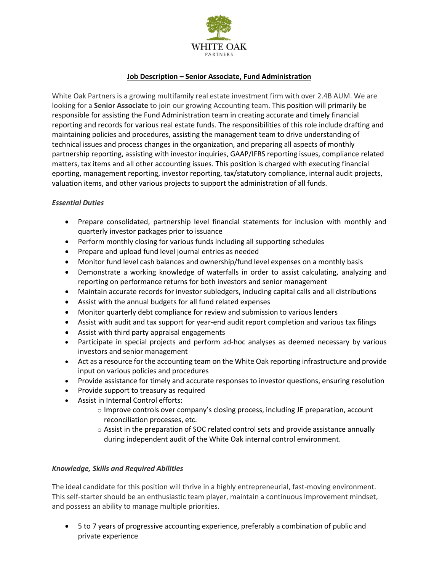

## **Job Description – Senior Associate, Fund Administration**

White Oak Partners is a growing multifamily real estate investment firm with over 2.4B AUM. We are looking for a **Senior Associate** to join our growing Accounting team. This position will primarily be responsible for assisting the Fund Administration team in creating accurate and timely financial reporting and records for various real estate funds. The responsibilities of this role include drafting and maintaining policies and procedures, assisting the management team to drive understanding of technical issues and process changes in the organization, and preparing all aspects of monthly partnership reporting, assisting with investor inquiries, GAAP/IFRS reporting issues, compliance related matters, tax items and all other accounting issues. This position is charged with executing financial eporting, management reporting, investor reporting, tax/statutory compliance, internal audit projects, valuation items, and other various projects to support the administration of all funds.

## *Essential Duties*

- Prepare consolidated, partnership level financial statements for inclusion with monthly and quarterly investor packages prior to issuance
- Perform monthly closing for various funds including all supporting schedules
- Prepare and upload fund level journal entries as needed
- Monitor fund level cash balances and ownership/fund level expenses on a monthly basis
- Demonstrate a working knowledge of waterfalls in order to assist calculating, analyzing and reporting on performance returns for both investors and senior management
- Maintain accurate records for investor subledgers, including capital calls and all distributions
- Assist with the annual budgets for all fund related expenses
- Monitor quarterly debt compliance for review and submission to various lenders
- Assist with audit and tax support for year-end audit report completion and various tax filings
- Assist with third party appraisal engagements
- Participate in special projects and perform ad-hoc analyses as deemed necessary by various investors and senior management
- Act as a resource for the accounting team on the White Oak reporting infrastructure and provide input on various policies and procedures
- Provide assistance for timely and accurate responses to investor questions, ensuring resolution
- Provide support to treasury as required
- Assist in Internal Control efforts:
	- $\circ$  Improve controls over company's closing process, including JE preparation, account reconciliation processes, etc.
	- $\circ$  Assist in the preparation of SOC related control sets and provide assistance annually during independent audit of the White Oak internal control environment.

## *Knowledge, Skills and Required Abilities*

The ideal candidate for this position will thrive in a highly entrepreneurial, fast-moving environment. This self-starter should be an enthusiastic team player, maintain a continuous improvement mindset, and possess an ability to manage multiple priorities.

• 5 to 7 years of progressive accounting experience, preferably a combination of public and private experience